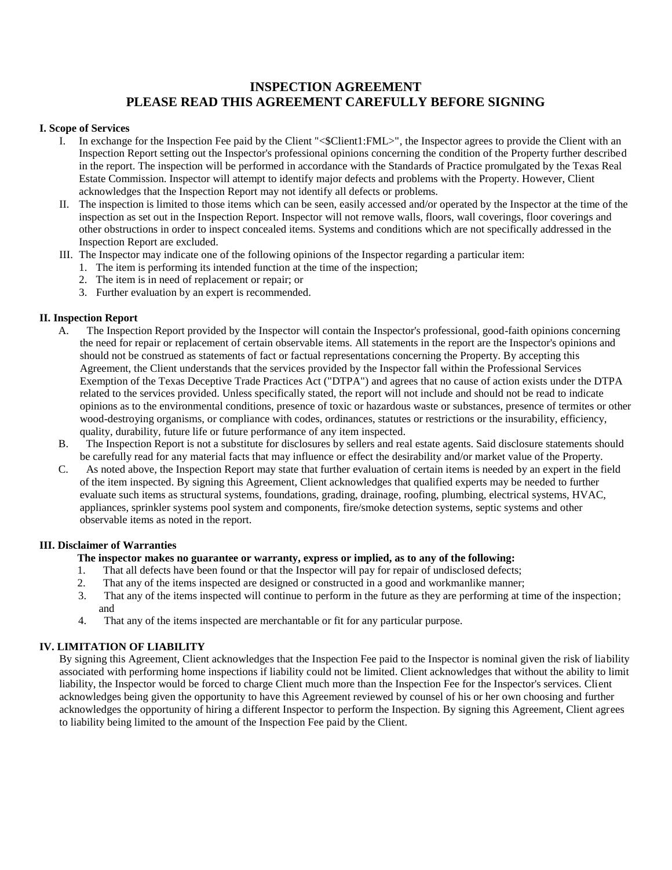# **INSPECTION AGREEMENT PLEASE READ THIS AGREEMENT CAREFULLY BEFORE SIGNING**

## **I. Scope of Services**

- I. In exchange for the Inspection Fee paid by the Client "<\$Client1:FML>", the Inspector agrees to provide the Client with an Inspection Report setting out the Inspector's professional opinions concerning the condition of the Property further described in the report. The inspection will be performed in accordance with the Standards of Practice promulgated by the Texas Real Estate Commission. Inspector will attempt to identify major defects and problems with the Property. However, Client acknowledges that the Inspection Report may not identify all defects or problems.
- II. The inspection is limited to those items which can be seen, easily accessed and/or operated by the Inspector at the time of the inspection as set out in the Inspection Report. Inspector will not remove walls, floors, wall coverings, floor coverings and other obstructions in order to inspect concealed items. Systems and conditions which are not specifically addressed in the Inspection Report are excluded.
- III. The Inspector may indicate one of the following opinions of the Inspector regarding a particular item:
	- 1. The item is performing its intended function at the time of the inspection;
		- 2. The item is in need of replacement or repair; or
		- 3. Further evaluation by an expert is recommended.

## **II. Inspection Report**

- A. The Inspection Report provided by the Inspector will contain the Inspector's professional, good-faith opinions concerning the need for repair or replacement of certain observable items. All statements in the report are the Inspector's opinions and should not be construed as statements of fact or factual representations concerning the Property. By accepting this Agreement, the Client understands that the services provided by the Inspector fall within the Professional Services Exemption of the Texas Deceptive Trade Practices Act ("DTPA") and agrees that no cause of action exists under the DTPA related to the services provided. Unless specifically stated, the report will not include and should not be read to indicate opinions as to the environmental conditions, presence of toxic or hazardous waste or substances, presence of termites or other wood-destroying organisms, or compliance with codes, ordinances, statutes or restrictions or the insurability, efficiency, quality, durability, future life or future performance of any item inspected.
- B. The Inspection Report is not a substitute for disclosures by sellers and real estate agents. Said disclosure statements should be carefully read for any material facts that may influence or effect the desirability and/or market value of the Property.
- C. As noted above, the Inspection Report may state that further evaluation of certain items is needed by an expert in the field of the item inspected. By signing this Agreement, Client acknowledges that qualified experts may be needed to further evaluate such items as structural systems, foundations, grading, drainage, roofing, plumbing, electrical systems, HVAC, appliances, sprinkler systems pool system and components, fire/smoke detection systems, septic systems and other observable items as noted in the report.

## **III. Disclaimer of Warranties**

- **The inspector makes no guarantee or warranty, express or implied, as to any of the following:**
- 1. That all defects have been found or that the Inspector will pay for repair of undisclosed defects;
- 2. That any of the items inspected are designed or constructed in a good and workmanlike manner;
- 3. That any of the items inspected will continue to perform in the future as they are performing at time of the inspection; and
- 4. That any of the items inspected are merchantable or fit for any particular purpose.

## **IV. LIMITATION OF LIABILITY**

By signing this Agreement, Client acknowledges that the Inspection Fee paid to the Inspector is nominal given the risk of liability associated with performing home inspections if liability could not be limited. Client acknowledges that without the ability to limit liability, the Inspector would be forced to charge Client much more than the Inspection Fee for the Inspector's services. Client acknowledges being given the opportunity to have this Agreement reviewed by counsel of his or her own choosing and further acknowledges the opportunity of hiring a different Inspector to perform the Inspection. By signing this Agreement, Client agrees to liability being limited to the amount of the Inspection Fee paid by the Client.